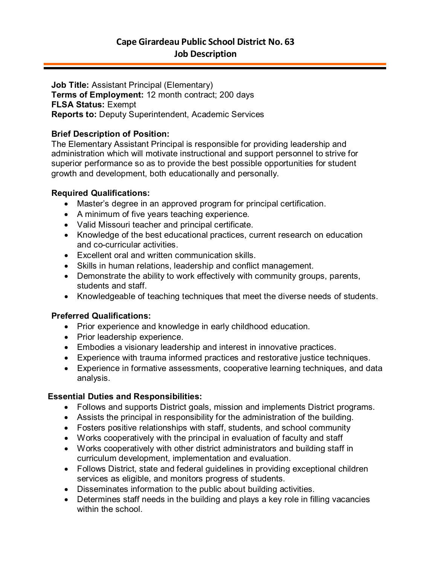**Job Title:** Assistant Principal (Elementary) **Terms of Employment:** 12 month contract; 200 days **FLSA Status:** Exempt **Reports to:** Deputy Superintendent, Academic Services

# **Brief Description of Position:**

The Elementary Assistant Principal is responsible for providing leadership and administration which will motivate instructional and support personnel to strive for superior performance so as to provide the best possible opportunities for student growth and development, both educationally and personally.

# **Required Qualifications:**

- Master's degree in an approved program for principal certification.
- A minimum of five years teaching experience.
- Valid Missouri teacher and principal certificate.
- Knowledge of the best educational practices, current research on education and co-curricular activities.
- Excellent oral and written communication skills.
- Skills in human relations, leadership and conflict management.
- Demonstrate the ability to work effectively with community groups, parents, students and staff.
- Knowledgeable of teaching techniques that meet the diverse needs of students.

# **Preferred Qualifications:**

- Prior experience and knowledge in early childhood education.
- Prior leadership experience.
- Embodies a visionary leadership and interest in innovative practices.
- Experience with trauma informed practices and restorative justice techniques.
- Experience in formative assessments, cooperative learning techniques, and data analysis.

# **Essential Duties and Responsibilities:**

- Follows and supports District goals, mission and implements District programs.
- Assists the principal in responsibility for the administration of the building.
- Fosters positive relationships with staff, students, and school community
- Works cooperatively with the principal in evaluation of faculty and staff
- Works cooperatively with other district administrators and building staff in curriculum development, implementation and evaluation.
- Follows District, state and federal guidelines in providing exceptional children services as eligible, and monitors progress of students.
- Disseminates information to the public about building activities.
- Determines staff needs in the building and plays a key role in filling vacancies within the school.